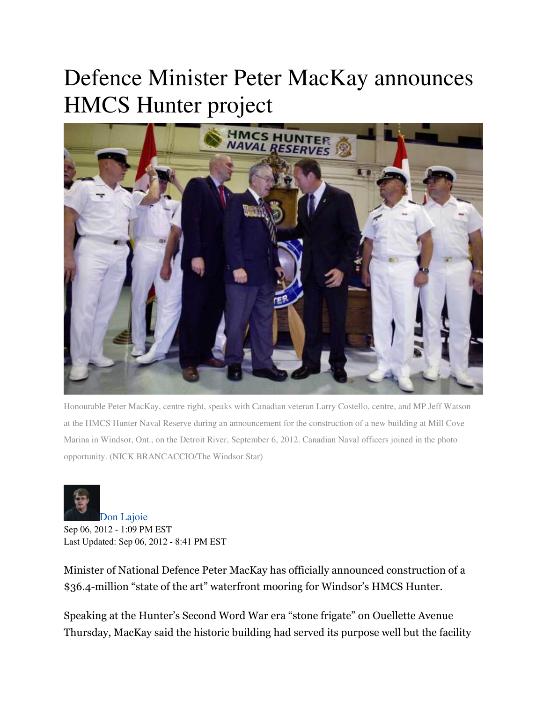## Defence Minister Peter MacKay announces HMCS Hunter project



Honourable Peter MacKay, centre right, speaks with Canadian veteran Larry Costello, centre, and MP Jeff Watson at the HMCS Hunter Naval Reserve during an announcement for the construction of a new building at Mill Cove Marina in Windsor, Ont., on the Detroit River, September 6, 2012. Canadian Naval officers joined in the photo opportunity. (NICK BRANCACCIO/The Windsor Star)



Don Lajoie Sep 06, 2012 - 1:09 PM EST Last Updated: Sep 06, 2012 - 8:41 PM EST

Minister of National Defence Peter MacKay has officially announced construction of a \$36.4-million "state of the art" waterfront mooring for Windsor's HMCS Hunter.

Speaking at the Hunter's Second Word War era "stone frigate" on Ouellette Avenue Thursday, MacKay said the historic building had served its purpose well but the facility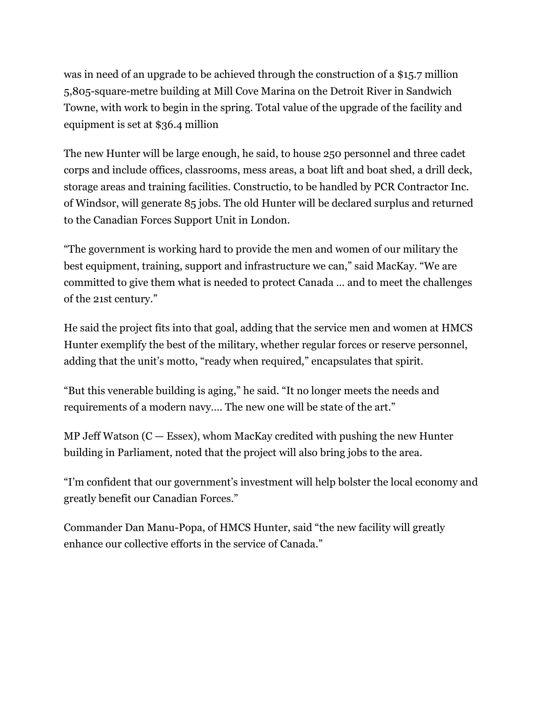was in need of an upgrade to be achieved through the construction of a \$15.7 million 5,805-square-metre building at Mill Cove Marina on the Detroit River in Sandwich Towne, with work to begin in the spring. Total value of the upgrade of the facility and equipment is set at \$36.4 million

The new Hunter will be large enough, he said, to house 250 personnel and three cadet corps and include offices, classrooms, mess areas, a boat lift and boat shed, a drill deck, storage areas and training facilities. Constructio, to be handled by PCR Contractor Inc. of Windsor, will generate 85 jobs. The old Hunter will be declared surplus and returned to the Canadian Forces Support Unit in London.

"The government is working hard to provide the men and women of our military the best equipment, training, support and infrastructure we can," said MacKay. "We are committed to give them what is needed to protect Canada … and to meet the challenges of the 21st century."

He said the project fits into that goal, adding that the service men and women at HMCS Hunter exemplify the best of the military, whether regular forces or reserve personnel, adding that the unit's motto, "ready when required," encapsulates that spirit.

"But this venerable building is aging," he said. "It no longer meets the needs and requirements of a modern navy…. The new one will be state of the art."

MP Jeff Watson  $(C - \text{Essex})$ , whom MacKay credited with pushing the new Hunter building in Parliament, noted that the project will also bring jobs to the area.

"I'm confident that our government's investment will help bolster the local economy and greatly benefit our Canadian Forces."

Commander Dan Manu-Popa, of HMCS Hunter, said "the new facility will greatly enhance our collective efforts in the service of Canada."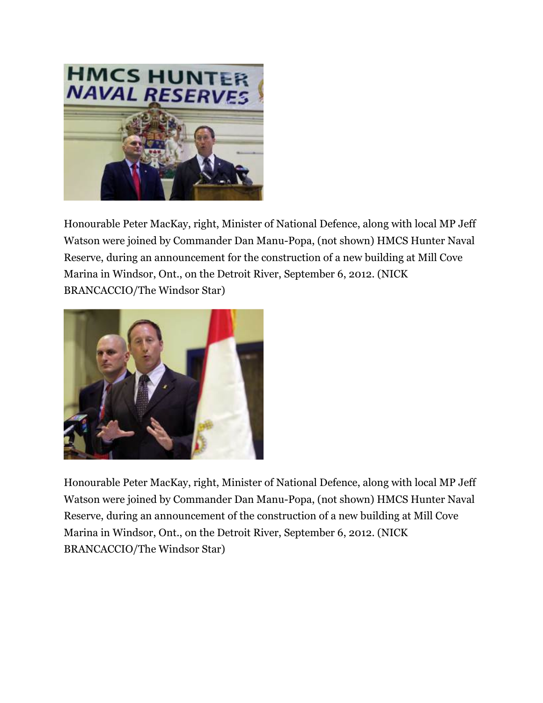

Honourable Peter MacKay, right, Minister of National Defence, along with local MP Jeff Watson were joined by Commander Dan Manu-Popa, (not shown) HMCS Hunter Naval Reserve, during an announcement for the construction of a new building at Mill Cove Marina in Windsor, Ont., on the Detroit River, September 6, 2012. (NICK BRANCACCIO/The Windsor Star)



Honourable Peter MacKay, right, Minister of National Defence, along with local MP Jeff Watson were joined by Commander Dan Manu-Popa, (not shown) HMCS Hunter Naval Reserve, during an announcement of the construction of a new building at Mill Cove Marina in Windsor, Ont., on the Detroit River, September 6, 2012. (NICK BRANCACCIO/The Windsor Star)